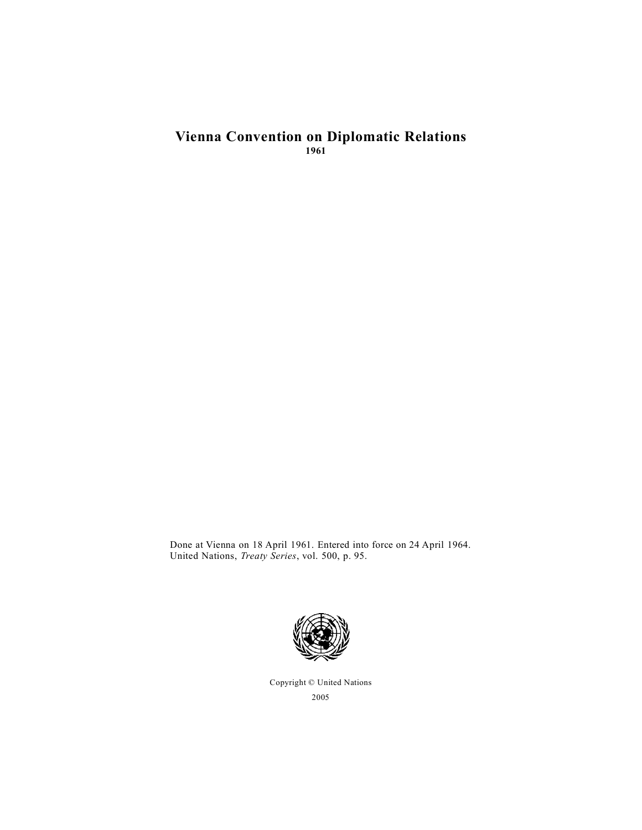# Vienna Convention on Diplomatic Relations 1961

Done at Vienna on 18 April 1961. Entered into force on 24 April 1964. United Nations, *Treaty Series*, vol. 500, p. 95.



Copyright © United Nations 2005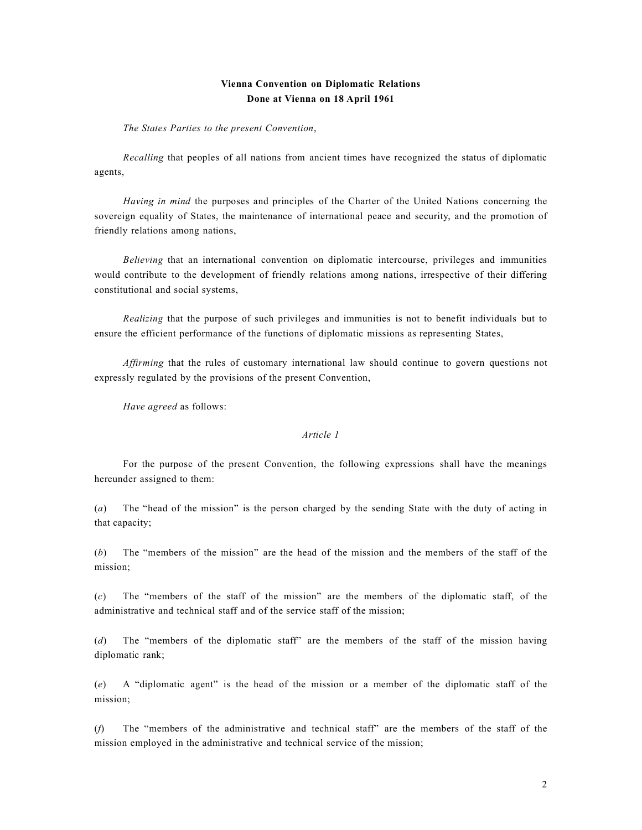# Vienna Convention on Diplomatic Relations Done at Vienna on 18 April 1961

*The States Parties to the present Convention*,

*Recalling* that peoples of all nations from ancient times have recognized the status of diplomatic agents,

*Having in mind* the purposes and principles of the Charter of the United Nations concerning the sovereign equality of States, the maintenance of international peace and security, and the promotion of friendly relations among nations,

*Believing* that an international convention on diplomatic intercourse, privileges and immunities would contribute to the development of friendly relations among nations, irrespective of their differing constitutional and social systems,

*Realizing* that the purpose of such privileges and immunities is not to benefit individuals but to ensure the efficient performance of the functions of diplomatic missions as representing States,

*Affirming* that the rules of customary international law should continue to govern questions not expressly regulated by the provisions of the present Convention,

*Have agreed* as follows:

#### *Article 1*

For the purpose of the present Convention, the following expressions shall have the meanings hereunder assigned to them:

(*a*) The "head of the mission" is the person charged by the sending State with the duty of acting in that capacity;

(*b*) The "members of the mission" are the head of the mission and the members of the staff of the mission;

(*c*) The "members of the staff of the mission" are the members of the diplomatic staff, of the administrative and technical staff and of the service staff of the mission;

(*d*) The "members of the diplomatic staff" are the members of the staff of the mission having diplomatic rank;

(*e*) A "diplomatic agent" is the head of the mission or a member of the diplomatic staff of the mission;

(*f*) The "members of the administrative and technical staff" are the members of the staff of the mission employed in the administrative and technical service of the mission;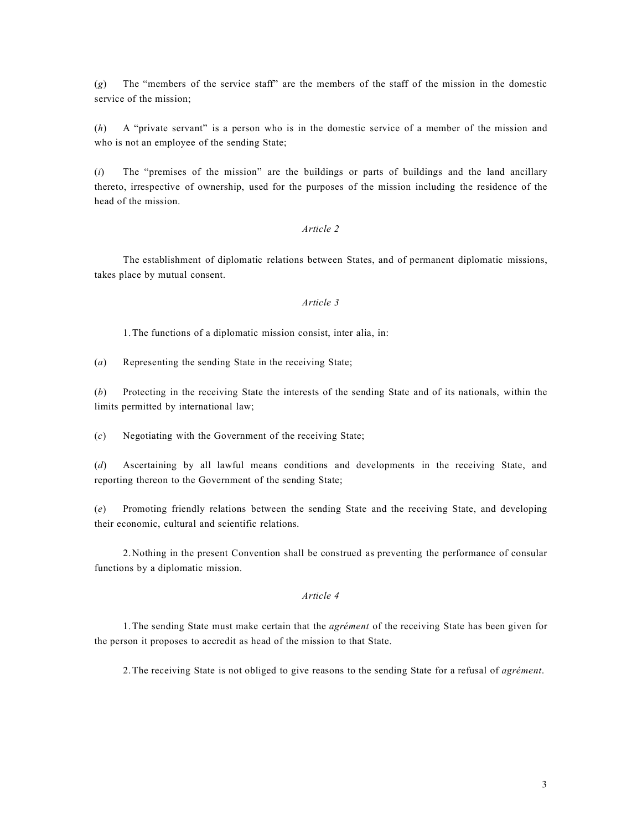(*g*) The "members of the service staff" are the members of the staff of the mission in the domestic service of the mission;

(*h*) A "private servant" is a person who is in the domestic service of a member of the mission and who is not an employee of the sending State;

(*i*) The "premises of the mission" are the buildings or parts of buildings and the land ancillary thereto, irrespective of ownership, used for the purposes of the mission including the residence of the head of the mission.

### *Article 2*

The establishment of diplomatic relations between States, and of permanent diplomatic missions, takes place by mutual consent.

### *Article 3*

1.The functions of a diplomatic mission consist, inter alia, in:

(*a*) Representing the sending State in the receiving State;

(*b*) Protecting in the receiving State the interests of the sending State and of its nationals, within the limits permitted by international law;

(*c*) Negotiating with the Government of the receiving State;

(*d*) Ascertaining by all lawful means conditions and developments in the receiving State, and reporting thereon to the Government of the sending State;

(*e*) Promoting friendly relations between the sending State and the receiving State, and developing their economic, cultural and scientific relations.

2.Nothing in the present Convention shall be construed as preventing the performance of consular functions by a diplomatic mission.

# *Article 4*

1.The sending State must make certain that the *agrément* of the receiving State has been given for the person it proposes to accredit as head of the mission to that State.

2.The receiving State is not obliged to give reasons to the sending State for a refusal of *agrément*.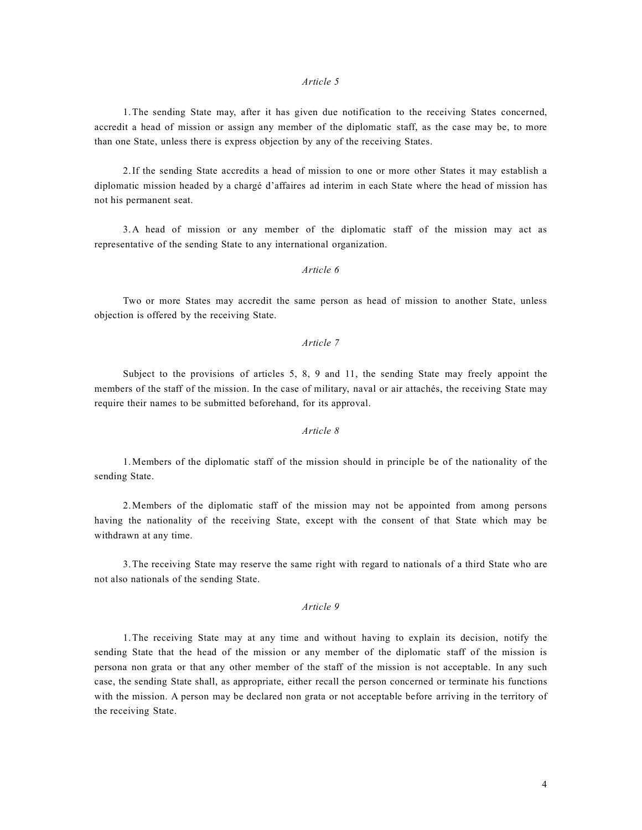1.The sending State may, after it has given due notification to the receiving States concerned, accredit a head of mission or assign any member of the diplomatic staff, as the case may be, to more than one State, unless there is express objection by any of the receiving States.

2.If the sending State accredits a head of mission to one or more other States it may establish a diplomatic mission headed by a chargé d'affaires ad interim in each State where the head of mission has not his permanent seat.

3.A head of mission or any member of the diplomatic staff of the mission may act as representative of the sending State to any international organization.

### *Article 6*

Two or more States may accredit the same person as head of mission to another State, unless objection is offered by the receiving State.

### *Article 7*

Subject to the provisions of articles 5, 8, 9 and 11, the sending State may freely appoint the members of the staff of the mission. In the case of military, naval or air attachés, the receiving State may require their names to be submitted beforehand, for its approval.

### *Article 8*

1.Members of the diplomatic staff of the mission should in principle be of the nationality of the sending State.

2.Members of the diplomatic staff of the mission may not be appointed from among persons having the nationality of the receiving State, except with the consent of that State which may be withdrawn at any time.

3.The receiving State may reserve the same right with regard to nationals of a third State who are not also nationals of the sending State.

# *Article 9*

1.The receiving State may at any time and without having to explain its decision, notify the sending State that the head of the mission or any member of the diplomatic staff of the mission is persona non grata or that any other member of the staff of the mission is not acceptable. In any such case, the sending State shall, as appropriate, either recall the person concerned or terminate his functions with the mission. A person may be declared non grata or not acceptable before arriving in the territory of the receiving State.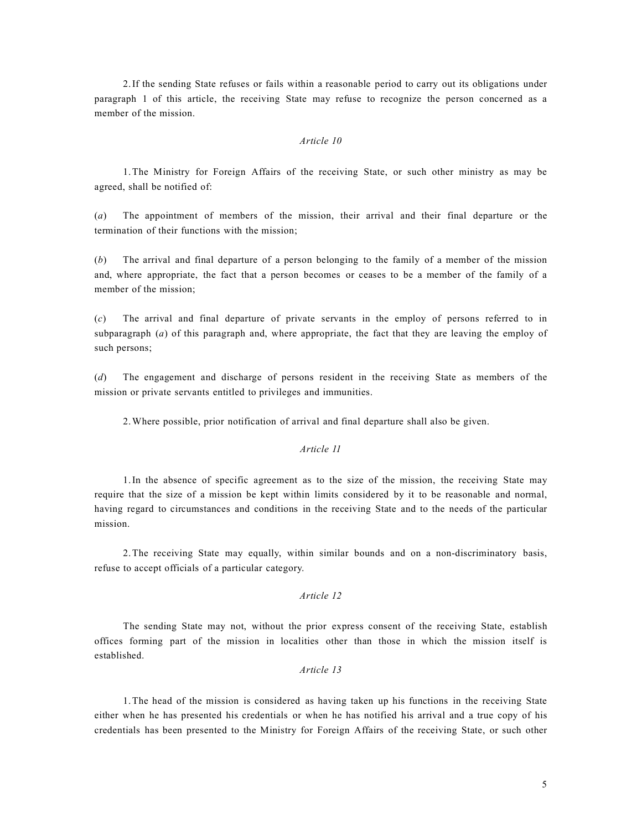2.If the sending State refuses or fails within a reasonable period to carry out its obligations under paragraph 1 of this article, the receiving State may refuse to recognize the person concerned as a member of the mission.

# *Article 10*

1.The Ministry for Foreign Affairs of the receiving State, or such other ministry as may be agreed, shall be notified of:

(*a*) The appointment of members of the mission, their arrival and their final departure or the termination of their functions with the mission;

(*b*) The arrival and final departure of a person belonging to the family of a member of the mission and, where appropriate, the fact that a person becomes or ceases to be a member of the family of a member of the mission;

(*c*) The arrival and final departure of private servants in the employ of persons referred to in subparagraph (*a*) of this paragraph and, where appropriate, the fact that they are leaving the employ of such persons;

(*d*) The engagement and discharge of persons resident in the receiving State as members of the mission or private servants entitled to privileges and immunities.

2.Where possible, prior notification of arrival and final departure shall also be given.

# *Article 11*

1.In the absence of specific agreement as to the size of the mission, the receiving State may require that the size of a mission be kept within limits considered by it to be reasonable and normal, having regard to circumstances and conditions in the receiving State and to the needs of the particular mission.

2.The receiving State may equally, within similar bounds and on a non-discriminatory basis, refuse to accept officials of a particular category.

# *Article 12*

The sending State may not, without the prior express consent of the receiving State, establish offices forming part of the mission in localities other than those in which the mission itself is established.

# *Article 13*

1.The head of the mission is considered as having taken up his functions in the receiving State either when he has presented his credentials or when he has notified his arrival and a true copy of his credentials has been presented to the Ministry for Foreign Affairs of the receiving State, or such other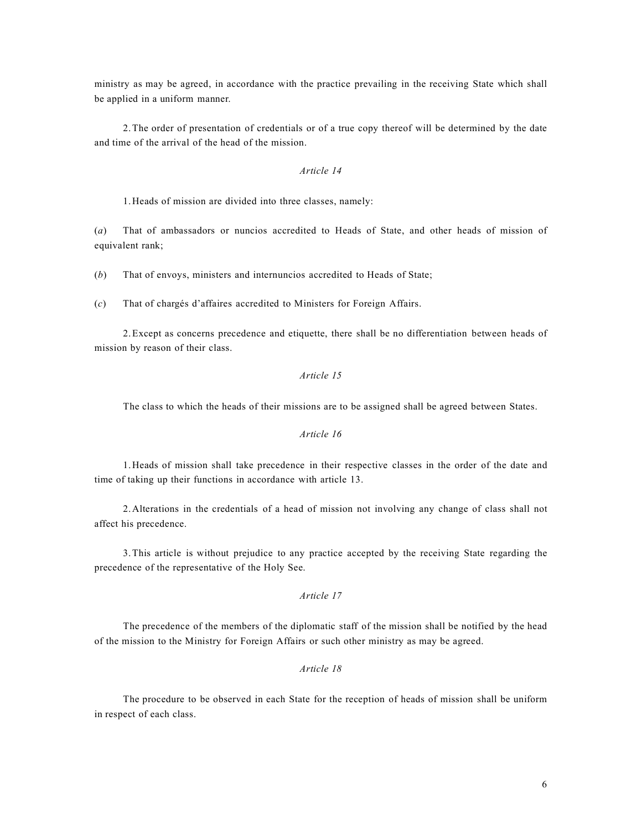ministry as may be agreed, in accordance with the practice prevailing in the receiving State which shall be applied in a uniform manner.

2.The order of presentation of credentials or of a true copy thereof will be determined by the date and time of the arrival of the head of the mission.

### *Article 14*

1.Heads of mission are divided into three classes, namely:

(*a*) That of ambassadors or nuncios accredited to Heads of State, and other heads of mission of equivalent rank;

(*b*) That of envoys, ministers and internuncios accredited to Heads of State;

(*c*) That of chargés d'affaires accredited to Ministers for Foreign Affairs.

2.Except as concerns precedence and etiquette, there shall be no differentiation between heads of mission by reason of their class.

# *Article 15*

The class to which the heads of their missions are to be assigned shall be agreed between States.

## *Article 16*

1.Heads of mission shall take precedence in their respective classes in the order of the date and time of taking up their functions in accordance with article 13.

2.Alterations in the credentials of a head of mission not involving any change of class shall not affect his precedence.

3.This article is without prejudice to any practice accepted by the receiving State regarding the precedence of the representative of the Holy See.

*Article 17*

The precedence of the members of the diplomatic staff of the mission shall be notified by the head of the mission to the Ministry for Foreign Affairs or such other ministry as may be agreed.

*Article 18*

The procedure to be observed in each State for the reception of heads of mission shall be uniform in respect of each class.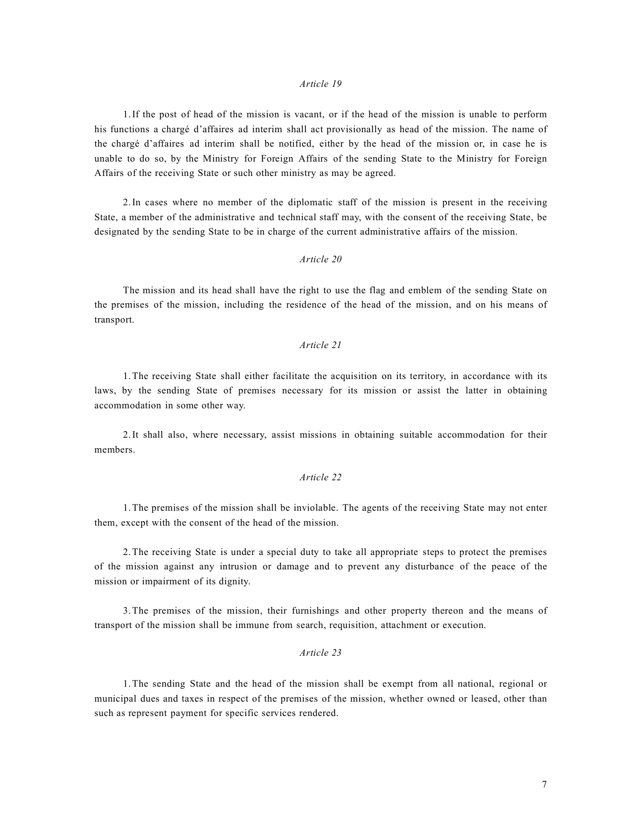1.If the post of head of the mission is vacant, or if the head of the mission is unable to perform his functions a chargé d'affaires ad interim shall act provisionally as head of the mission. The name of the chargé d'affaires ad interim shall be notified, either by the head of the mission or, in case he is unable to do so, by the Ministry for Foreign Affairs of the sending State to the Ministry for Foreign Affairs of the receiving State or such other ministry as may be agreed.

2.In cases where no member of the diplomatic staff of the mission is present in the receiving State, a member of the administrative and technical staff may, with the consent of the receiving State, be designated by the sending State to be in charge of the current administrative affairs of the mission.

#### *Article 20*

The mission and its head shall have the right to use the flag and emblem of the sending State on the premises of the mission, including the residence of the head of the mission, and on his means of transport.

# *Article 21*

1.The receiving State shall either facilitate the acquisition on its territory, in accordance with its laws, by the sending State of premises necessary for its mission or assist the latter in obtaining accommodation in some other way.

2.It shall also, where necessary, assist missions in obtaining suitable accommodation for their members.

# *Article 22*

1.The premises of the mission shall be inviolable. The agents of the receiving State may not enter them, except with the consent of the head of the mission.

2.The receiving State is under a special duty to take all appropriate steps to protect the premises of the mission against any intrusion or damage and to prevent any disturbance of the peace of the mission or impairment of its dignity.

3.The premises of the mission, their furnishings and other property thereon and the means of transport of the mission shall be immune from search, requisition, attachment or execution.

#### *Article 23*

1.The sending State and the head of the mission shall be exempt from all national, regional or municipal dues and taxes in respect of the premises of the mission, whether owned or leased, other than such as represent payment for specific services rendered.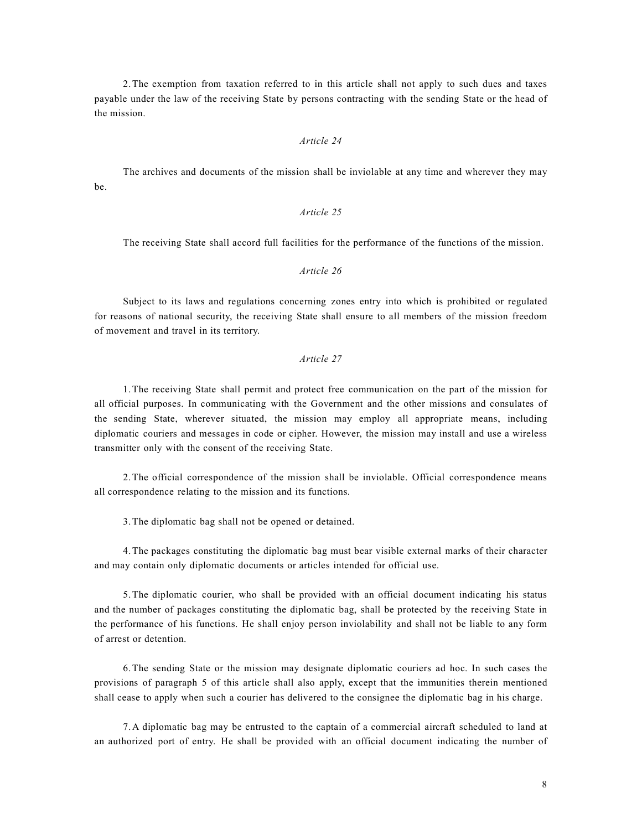2.The exemption from taxation referred to in this article shall not apply to such dues and taxes payable under the law of the receiving State by persons contracting with the sending State or the head of the mission.

# *Article 24*

The archives and documents of the mission shall be inviolable at any time and wherever they may be.

# *Article 25*

The receiving State shall accord full facilities for the performance of the functions of the mission.

# *Article 26*

Subject to its laws and regulations concerning zones entry into which is prohibited or regulated for reasons of national security, the receiving State shall ensure to all members of the mission freedom of movement and travel in its territory.

# *Article 27*

1.The receiving State shall permit and protect free communication on the part of the mission for all official purposes. In communicating with the Government and the other missions and consulates of the sending State, wherever situated, the mission may employ all appropriate means, including diplomatic couriers and messages in code or cipher. However, the mission may install and use a wireless transmitter only with the consent of the receiving State.

2.The official correspondence of the mission shall be inviolable. Official correspondence means all correspondence relating to the mission and its functions.

3.The diplomatic bag shall not be opened or detained.

4.The packages constituting the diplomatic bag must bear visible external marks of their character and may contain only diplomatic documents or articles intended for official use.

5.The diplomatic courier, who shall be provided with an official document indicating his status and the number of packages constituting the diplomatic bag, shall be protected by the receiving State in the performance of his functions. He shall enjoy person inviolability and shall not be liable to any form of arrest or detention.

6.The sending State or the mission may designate diplomatic couriers ad hoc. In such cases the provisions of paragraph 5 of this article shall also apply, except that the immunities therein mentioned shall cease to apply when such a courier has delivered to the consignee the diplomatic bag in his charge.

7.A diplomatic bag may be entrusted to the captain of a commercial aircraft scheduled to land at an authorized port of entry. He shall be provided with an official document indicating the number of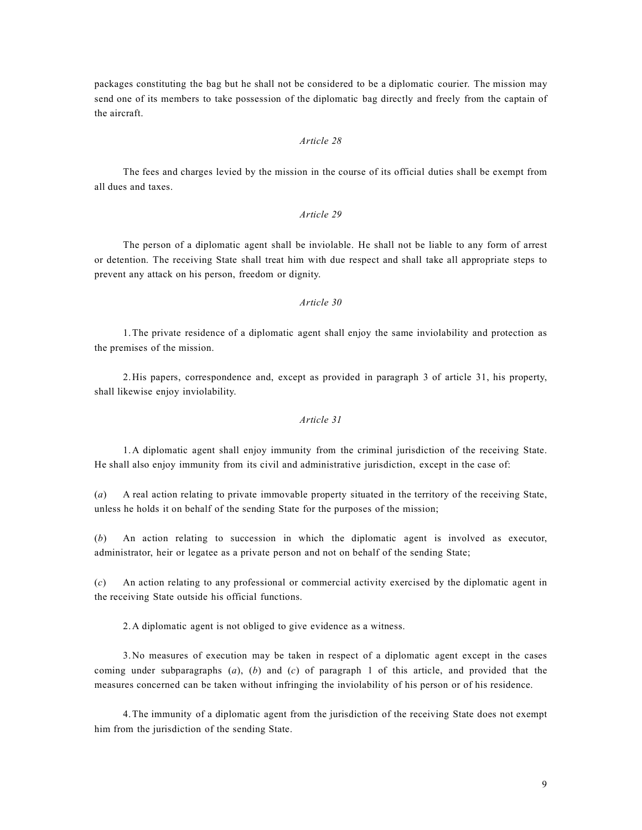packages constituting the bag but he shall not be considered to be a diplomatic courier. The mission may send one of its members to take possession of the diplomatic bag directly and freely from the captain of the aircraft.

# *Article 28*

The fees and charges levied by the mission in the course of its official duties shall be exempt from all dues and taxes.

# *Article 29*

The person of a diplomatic agent shall be inviolable. He shall not be liable to any form of arrest or detention. The receiving State shall treat him with due respect and shall take all appropriate steps to prevent any attack on his person, freedom or dignity.

#### *Article 30*

1.The private residence of a diplomatic agent shall enjoy the same inviolability and protection as the premises of the mission.

2.His papers, correspondence and, except as provided in paragraph 3 of article 31, his property, shall likewise enjoy inviolability.

#### *Article 31*

1.A diplomatic agent shall enjoy immunity from the criminal jurisdiction of the receiving State. He shall also enjoy immunity from its civil and administrative jurisdiction, except in the case of:

(*a*) A real action relating to private immovable property situated in the territory of the receiving State, unless he holds it on behalf of the sending State for the purposes of the mission;

(*b*) An action relating to succession in which the diplomatic agent is involved as executor, administrator, heir or legatee as a private person and not on behalf of the sending State;

(*c*) An action relating to any professional or commercial activity exercised by the diplomatic agent in the receiving State outside his official functions.

2.A diplomatic agent is not obliged to give evidence as a witness.

3.No measures of execution may be taken in respect of a diplomatic agent except in the cases coming under subparagraphs (*a*), (*b*) and (*c*) of paragraph 1 of this article, and provided that the measures concerned can be taken without infringing the inviolability of his person or of his residence.

4.The immunity of a diplomatic agent from the jurisdiction of the receiving State does not exempt him from the jurisdiction of the sending State.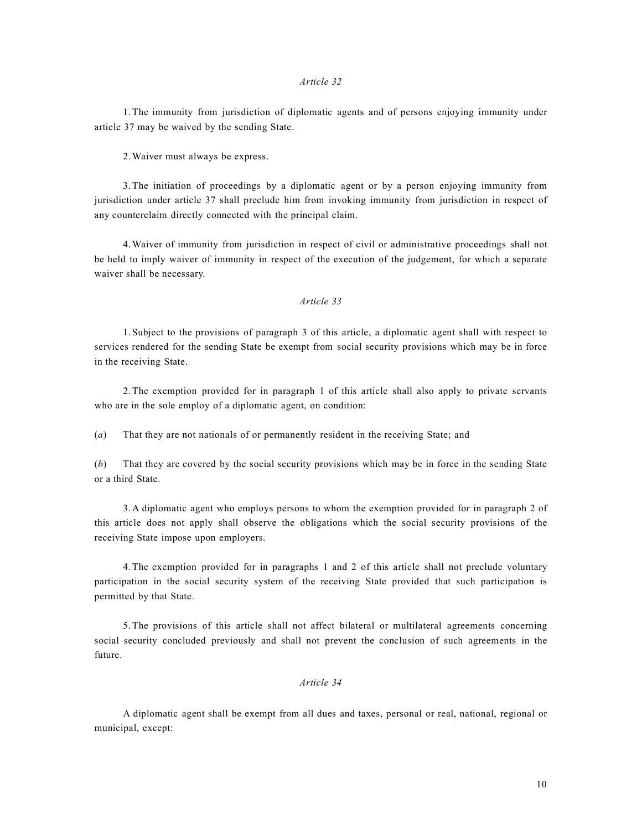1.The immunity from jurisdiction of diplomatic agents and of persons enjoying immunity under article 37 may be waived by the sending State.

2.Waiver must always be express.

3.The initiation of proceedings by a diplomatic agent or by a person enjoying immunity from jurisdiction under article 37 shall preclude him from invoking immunity from jurisdiction in respect of any counterclaim directly connected with the principal claim.

4.Waiver of immunity from jurisdiction in respect of civil or administrative proceedings shall not be held to imply waiver of immunity in respect of the execution of the judgement, for which a separate waiver shall be necessary.

#### *Article 33*

1.Subject to the provisions of paragraph 3 of this article, a diplomatic agent shall with respect to services rendered for the sending State be exempt from social security provisions which may be in force in the receiving State.

2.The exemption provided for in paragraph 1 of this article shall also apply to private servants who are in the sole employ of a diplomatic agent, on condition:

(*a*) That they are not nationals of or permanently resident in the receiving State; and

(*b*) That they are covered by the social security provisions which may be in force in the sending State or a third State.

3.A diplomatic agent who employs persons to whom the exemption provided for in paragraph 2 of this article does not apply shall observe the obligations which the social security provisions of the receiving State impose upon employers.

4.The exemption provided for in paragraphs 1 and 2 of this article shall not preclude voluntary participation in the social security system of the receiving State provided that such participation is permitted by that State.

5.The provisions of this article shall not affect bilateral or multilateral agreements concerning social security concluded previously and shall not prevent the conclusion of such agreements in the future.

# *Article 34*

A diplomatic agent shall be exempt from all dues and taxes, personal or real, national, regional or municipal, except: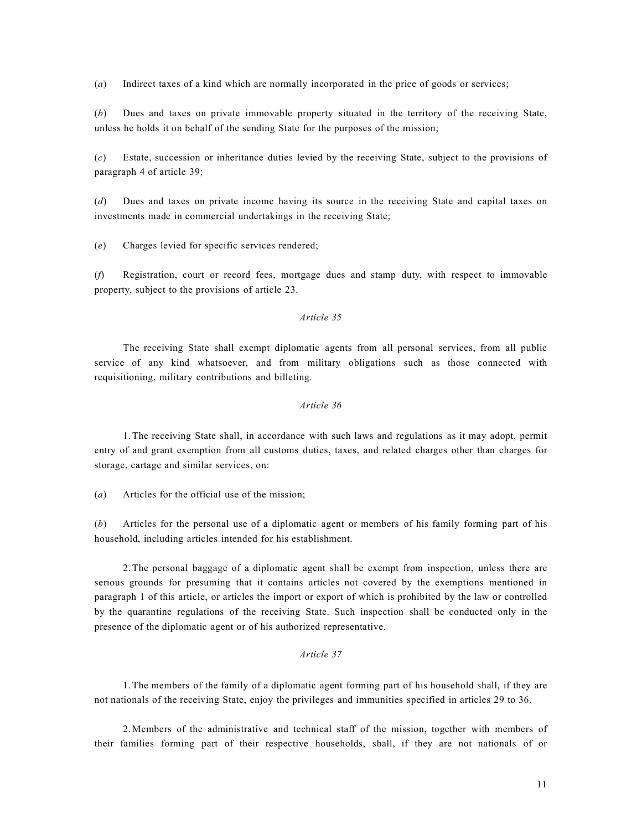(*a*) Indirect taxes of a kind which are normally incorporated in the price of goods or services;

(*b*) Dues and taxes on private immovable property situated in the territory of the receiving State, unless he holds it on behalf of the sending State for the purposes of the mission;

(*c*) Estate, succession or inheritance duties levied by the receiving State, subject to the provisions of paragraph 4 of article 39;

(*d*) Dues and taxes on private income having its source in the receiving State and capital taxes on investments made in commercial undertakings in the receiving State;

(*e*) Charges levied for specific services rendered;

(*f*) Registration, court or record fees, mortgage dues and stamp duty, with respect to immovable property, subject to the provisions of article 23.

# *Article 35*

The receiving State shall exempt diplomatic agents from all personal services, from all public service of any kind whatsoever, and from military obligations such as those connected with requisitioning, military contributions and billeting.

### *Article 36*

1.The receiving State shall, in accordance with such laws and regulations as it may adopt, permit entry of and grant exemption from all customs duties, taxes, and related charges other than charges for storage, cartage and similar services, on:

(*a*) Articles for the official use of the mission;

(*b*) Articles for the personal use of a diplomatic agent or members of his family forming part of his household, including articles intended for his establishment.

2.The personal baggage of a diplomatic agent shall be exempt from inspection, unless there are serious grounds for presuming that it contains articles not covered by the exemptions mentioned in paragraph 1 of this article, or articles the import or export of which is prohibited by the law or controlled by the quarantine regulations of the receiving State. Such inspection shall be conducted only in the presence of the diplomatic agent or of his authorized representative.

## *Article 37*

1.The members of the family of a diplomatic agent forming part of his household shall, if they are not nationals of the receiving State, enjoy the privileges and immunities specified in articles 29 to 36.

2.Members of the administrative and technical staff of the mission, together with members of their families forming part of their respective households, shall, if they are not nationals of or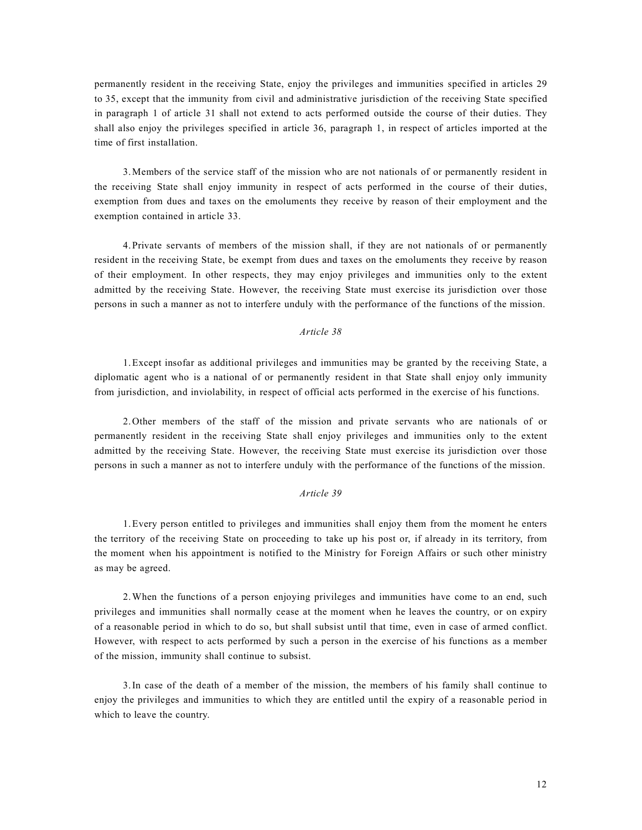permanently resident in the receiving State, enjoy the privileges and immunities specified in articles 29 to 35, except that the immunity from civil and administrative jurisdiction of the receiving State specified in paragraph 1 of article 31 shall not extend to acts performed outside the course of their duties. They shall also enjoy the privileges specified in article 36, paragraph 1, in respect of articles imported at the time of first installation.

3.Members of the service staff of the mission who are not nationals of or permanently resident in the receiving State shall enjoy immunity in respect of acts performed in the course of their duties, exemption from dues and taxes on the emoluments they receive by reason of their employment and the exemption contained in article 33.

4.Private servants of members of the mission shall, if they are not nationals of or permanently resident in the receiving State, be exempt from dues and taxes on the emoluments they receive by reason of their employment. In other respects, they may enjoy privileges and immunities only to the extent admitted by the receiving State. However, the receiving State must exercise its jurisdiction over those persons in such a manner as not to interfere unduly with the performance of the functions of the mission.

#### *Article 38*

1.Except insofar as additional privileges and immunities may be granted by the receiving State, a diplomatic agent who is a national of or permanently resident in that State shall enjoy only immunity from jurisdiction, and inviolability, in respect of official acts performed in the exercise of his functions.

2.Other members of the staff of the mission and private servants who are nationals of or permanently resident in the receiving State shall enjoy privileges and immunities only to the extent admitted by the receiving State. However, the receiving State must exercise its jurisdiction over those persons in such a manner as not to interfere unduly with the performance of the functions of the mission.

# *Article 39*

1.Every person entitled to privileges and immunities shall enjoy them from the moment he enters the territory of the receiving State on proceeding to take up his post or, if already in its territory, from the moment when his appointment is notified to the Ministry for Foreign Affairs or such other ministry as may be agreed.

2.When the functions of a person enjoying privileges and immunities have come to an end, such privileges and immunities shall normally cease at the moment when he leaves the country, or on expiry of a reasonable period in which to do so, but shall subsist until that time, even in case of armed conflict. However, with respect to acts performed by such a person in the exercise of his functions as a member of the mission, immunity shall continue to subsist.

3.In case of the death of a member of the mission, the members of his family shall continue to enjoy the privileges and immunities to which they are entitled until the expiry of a reasonable period in which to leave the country.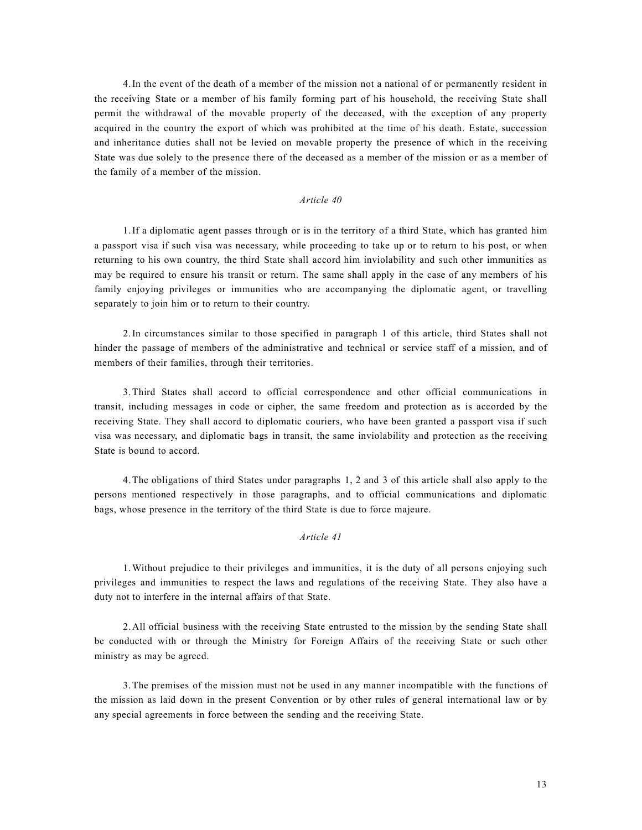4.In the event of the death of a member of the mission not a national of or permanently resident in the receiving State or a member of his family forming part of his household, the receiving State shall permit the withdrawal of the movable property of the deceased, with the exception of any property acquired in the country the export of which was prohibited at the time of his death. Estate, succession and inheritance duties shall not be levied on movable property the presence of which in the receiving State was due solely to the presence there of the deceased as a member of the mission or as a member of the family of a member of the mission.

#### *Article 40*

1.If a diplomatic agent passes through or is in the territory of a third State, which has granted him a passport visa if such visa was necessary, while proceeding to take up or to return to his post, or when returning to his own country, the third State shall accord him inviolability and such other immunities as may be required to ensure his transit or return. The same shall apply in the case of any members of his family enjoying privileges or immunities who are accompanying the diplomatic agent, or travelling separately to join him or to return to their country.

2.In circumstances similar to those specified in paragraph 1 of this article, third States shall not hinder the passage of members of the administrative and technical or service staff of a mission, and of members of their families, through their territories.

3.Third States shall accord to official correspondence and other official communications in transit, including messages in code or cipher, the same freedom and protection as is accorded by the receiving State. They shall accord to diplomatic couriers, who have been granted a passport visa if such visa was necessary, and diplomatic bags in transit, the same inviolability and protection as the receiving State is bound to accord.

4.The obligations of third States under paragraphs 1, 2 and 3 of this article shall also apply to the persons mentioned respectively in those paragraphs, and to official communications and diplomatic bags, whose presence in the territory of the third State is due to force majeure.

# *Article 41*

1.Without prejudice to their privileges and immunities, it is the duty of all persons enjoying such privileges and immunities to respect the laws and regulations of the receiving State. They also have a duty not to interfere in the internal affairs of that State.

2.All official business with the receiving State entrusted to the mission by the sending State shall be conducted with or through the Ministry for Foreign Affairs of the receiving State or such other ministry as may be agreed.

3.The premises of the mission must not be used in any manner incompatible with the functions of the mission as laid down in the present Convention or by other rules of general international law or by any special agreements in force between the sending and the receiving State.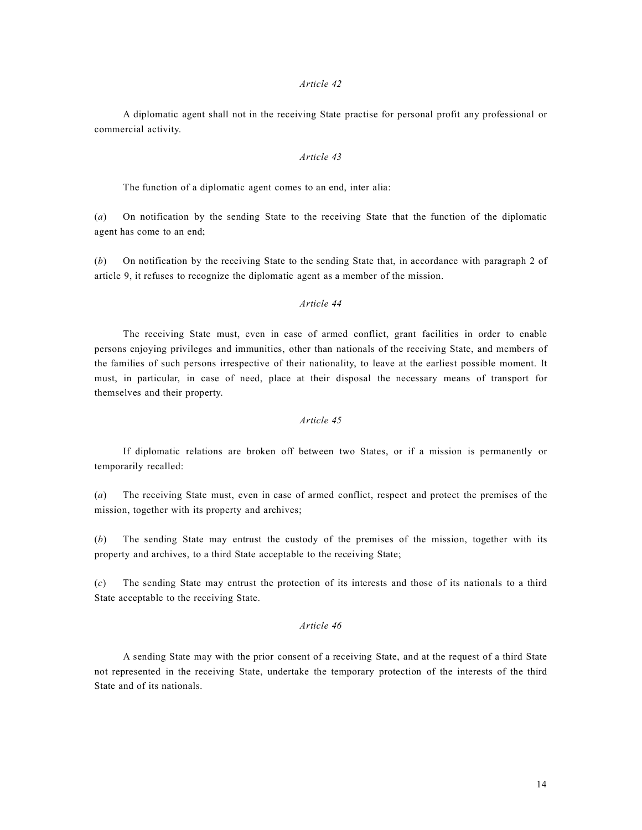A diplomatic agent shall not in the receiving State practise for personal profit any professional or commercial activity.

### *Article 43*

The function of a diplomatic agent comes to an end, inter alia:

(*a*) On notification by the sending State to the receiving State that the function of the diplomatic agent has come to an end;

(*b*) On notification by the receiving State to the sending State that, in accordance with paragraph 2 of article 9, it refuses to recognize the diplomatic agent as a member of the mission.

# *Article 44*

The receiving State must, even in case of armed conflict, grant facilities in order to enable persons enjoying privileges and immunities, other than nationals of the receiving State, and members of the families of such persons irrespective of their nationality, to leave at the earliest possible moment. It must, in particular, in case of need, place at their disposal the necessary means of transport for themselves and their property.

## *Article 45*

If diplomatic relations are broken off between two States, or if a mission is permanently or temporarily recalled:

(*a*) The receiving State must, even in case of armed conflict, respect and protect the premises of the mission, together with its property and archives;

(*b*) The sending State may entrust the custody of the premises of the mission, together with its property and archives, to a third State acceptable to the receiving State;

(*c*) The sending State may entrust the protection of its interests and those of its nationals to a third State acceptable to the receiving State.

# *Article 46*

A sending State may with the prior consent of a receiving State, and at the request of a third State not represented in the receiving State, undertake the temporary protection of the interests of the third State and of its nationals.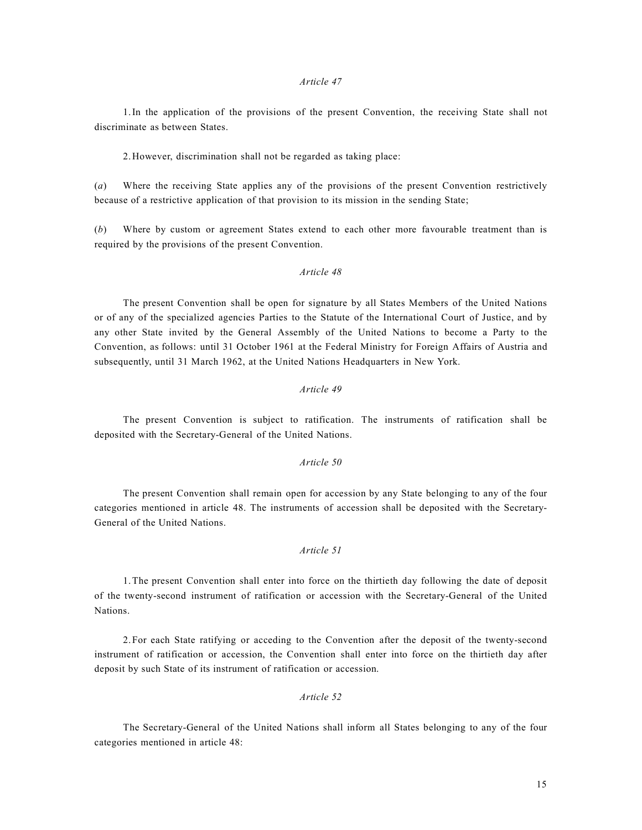1.In the application of the provisions of the present Convention, the receiving State shall not discriminate as between States.

2.However, discrimination shall not be regarded as taking place:

(*a*) Where the receiving State applies any of the provisions of the present Convention restrictively because of a restrictive application of that provision to its mission in the sending State;

(*b*) Where by custom or agreement States extend to each other more favourable treatment than is required by the provisions of the present Convention.

# *Article 48*

The present Convention shall be open for signature by all States Members of the United Nations or of any of the specialized agencies Parties to the Statute of the International Court of Justice, and by any other State invited by the General Assembly of the United Nations to become a Party to the Convention, as follows: until 31 October 1961 at the Federal Ministry for Foreign Affairs of Austria and subsequently, until 31 March 1962, at the United Nations Headquarters in New York.

#### *Article 49*

The present Convention is subject to ratification. The instruments of ratification shall be deposited with the Secretary-General of the United Nations.

### *Article 50*

The present Convention shall remain open for accession by any State belonging to any of the four categories mentioned in article 48. The instruments of accession shall be deposited with the Secretary-General of the United Nations.

#### *Article 51*

1.The present Convention shall enter into force on the thirtieth day following the date of deposit of the twenty-second instrument of ratification or accession with the Secretary-General of the United Nations.

2.For each State ratifying or acceding to the Convention after the deposit of the twenty-second instrument of ratification or accession, the Convention shall enter into force on the thirtieth day after deposit by such State of its instrument of ratification or accession.

# *Article 52*

The Secretary-General of the United Nations shall inform all States belonging to any of the four categories mentioned in article 48: